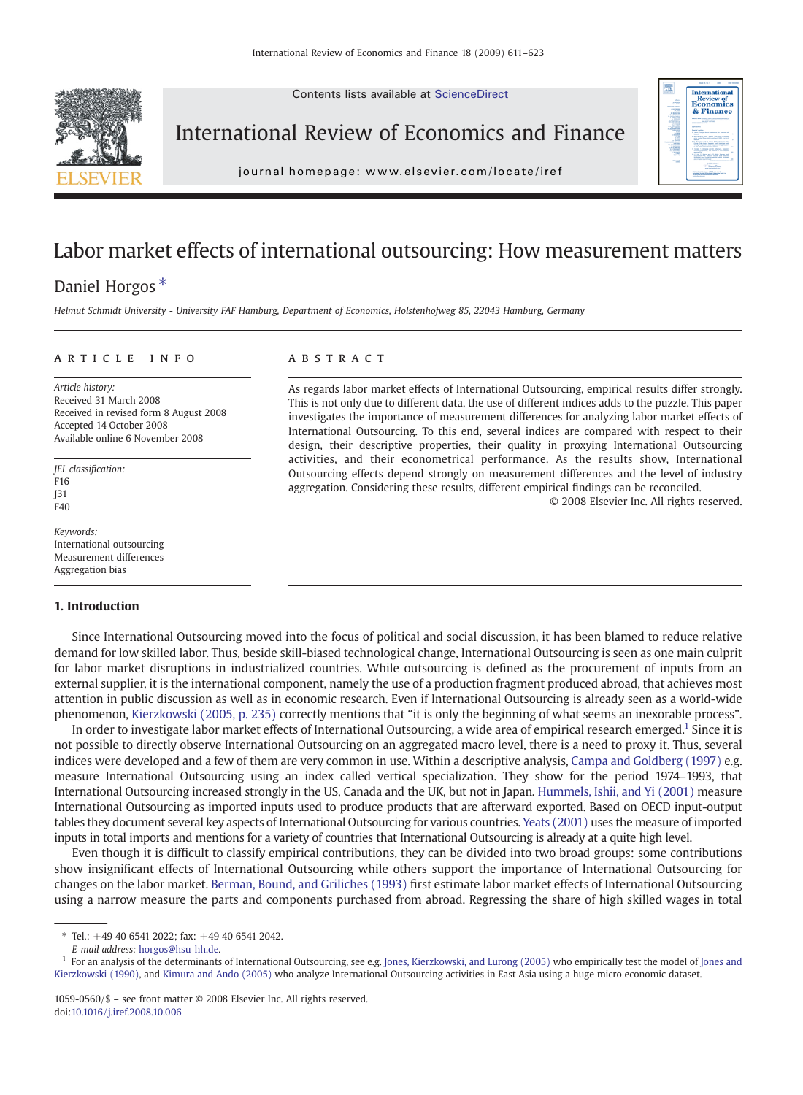Contents lists available at ScienceDirect



International Review of Economics and Finance



j o u r n a l h om e p a g e  $\alpha$  ev i e r. c om  $\alpha$  t e  $\alpha$  t e  $\alpha$  i r e  $\alpha$  t e  $\alpha$ 

# Labor market effects of international outsourcing: How measurement matters

## Daniel Horgos<sup>\*</sup>

Helmut Schmidt University - University FAF Hamburg, Department of Economics, Holstenhofweg 85, 22043 Hamburg, Germany

#### article info abstract

Article history: Received 31 March 2008 Received in revised form 8 August 2008 Accepted 14 October 2008 Available online 6 November 2008

JEL classification: F16 J31 E<sub>40</sub>

Keywords: International outsourcing Measurement differences Aggregation bias

#### 1. Introduction

As regards labor market effects of International Outsourcing, empirical results differ strongly. This is not only due to different data, the use of different indices adds to the puzzle. This paper investigates the importance of measurement differences for analyzing labor market effects of International Outsourcing. To this end, several indices are compared with respect to their design, their descriptive properties, their quality in proxying International Outsourcing activities, and their econometrical performance. As the results show, International Outsourcing effects depend strongly on measurement differences and the level of industry aggregation. Considering these results, different empirical findings can be reconciled.

© 2008 Elsevier Inc. All rights reserved.

Since International Outsourcing moved into the focus of political and social discussion, it has been blamed to reduce relative demand for low skilled labor. Thus, beside skill-biased technological change, International Outsourcing is seen as one main culprit for labor market disruptions in industrialized countries. While outsourcing is defined as the procurement of inputs from an external supplier, it is the international component, namely the use of a production fragment produced abroad, that achieves most attention in public discussion as well as in economic research. Even if International Outsourcing is already seen as a world-wide phenomenon, [Kierzkowski \(2005, p. 235\)](#page--1-0) correctly mentions that "it is only the beginning of what seems an inexorable process".

In order to investigate labor market effects of International Outsourcing, a wide area of empirical research emerged.<sup>1</sup> Since it is not possible to directly observe International Outsourcing on an aggregated macro level, there is a need to proxy it. Thus, several indices were developed and a few of them are very common in use. Within a descriptive analysis, [Campa and Goldberg \(1997\)](#page--1-0) e.g. measure International Outsourcing using an index called vertical specialization. They show for the period 1974–1993, that International Outsourcing increased strongly in the US, Canada and the UK, but not in Japan. [Hummels, Ishii, and Yi \(2001\)](#page--1-0) measure International Outsourcing as imported inputs used to produce products that are afterward exported. Based on OECD input-output tables they document several key aspects of International Outsourcing for various countries. [Yeats \(2001\)](#page--1-0) uses the measure of imported inputs in total imports and mentions for a variety of countries that International Outsourcing is already at a quite high level.

Even though it is difficult to classify empirical contributions, they can be divided into two broad groups: some contributions show insignificant effects of International Outsourcing while others support the importance of International Outsourcing for changes on the labor market. [Berman, Bound, and Griliches \(1993\)](#page--1-0) first estimate labor market effects of International Outsourcing using a narrow measure the parts and components purchased from abroad. Regressing the share of high skilled wages in total

 $*$  Tel.:  $+49$  40 6541 2022; fax:  $+49$  40 6541 2042.

E-mail address: [horgos@hsu-hh.de](mailto:horgos@hsu-hh.de).

<sup>&</sup>lt;sup>1</sup> For an analysis of the determinants of International Outsourcing, see e.g. [Jones, Kierzkowski, and Lurong \(2005\)](#page--1-0) who empirically test the model of [Jones and](#page--1-0) [Kierzkowski \(1990\)](#page--1-0), and [Kimura and Ando \(2005\)](#page--1-0) who analyze International Outsourcing activities in East Asia using a huge micro economic dataset.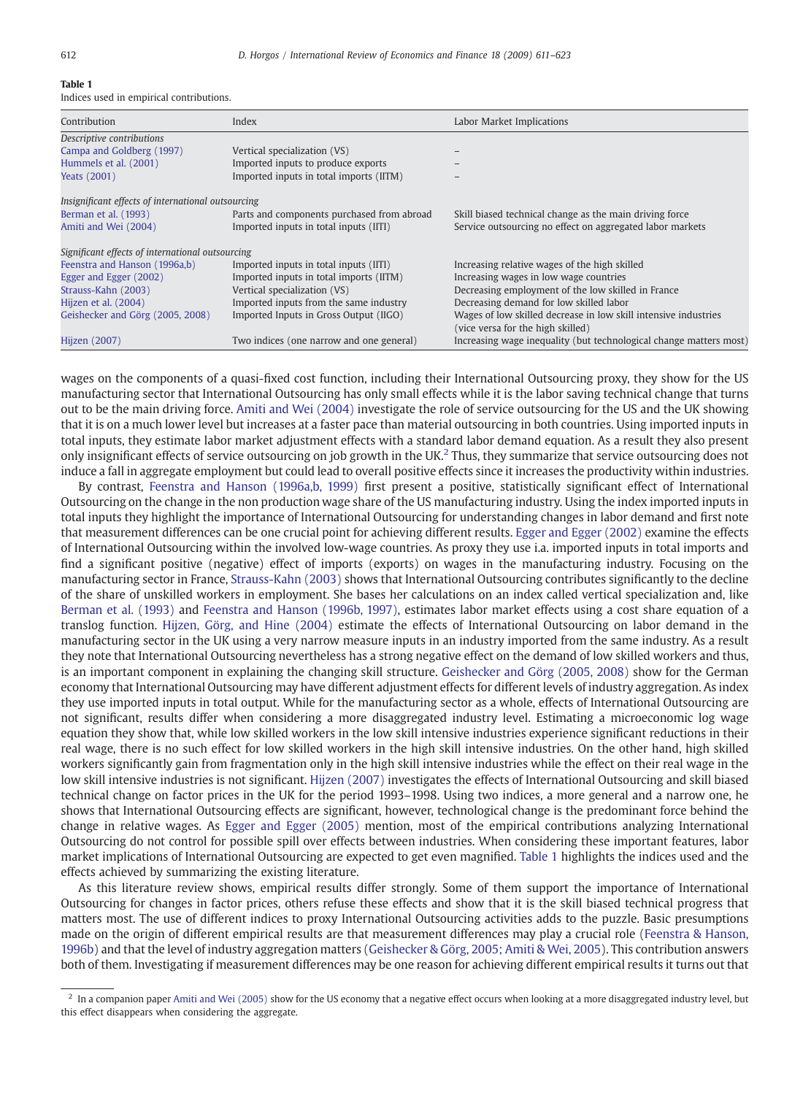### Table 1

Indices used in empirical contributions.

| Contribution                                       | Index                                      | Labor Market Implications                                          |
|----------------------------------------------------|--------------------------------------------|--------------------------------------------------------------------|
| Descriptive contributions                          |                                            |                                                                    |
| Campa and Goldberg (1997)                          | Vertical specialization (VS)               |                                                                    |
| Hummels et al. (2001)                              | Imported inputs to produce exports         |                                                                    |
| <b>Yeats (2001)</b>                                | Imported inputs in total imports (IITM)    |                                                                    |
| Insignificant effects of international outsourcing |                                            |                                                                    |
| Berman et al. (1993)                               | Parts and components purchased from abroad | Skill biased technical change as the main driving force            |
| Amiti and Wei (2004)                               | Imported inputs in total inputs (IITI)     | Service outsourcing no effect on aggregated labor markets          |
| Significant effects of international outsourcing   |                                            |                                                                    |
| Feenstra and Hanson (1996a,b)                      | Imported inputs in total inputs (IITI)     | Increasing relative wages of the high skilled                      |
| Egger and Egger (2002)                             | Imported inputs in total imports (IITM)    | Increasing wages in low wage countries                             |
| Strauss-Kahn (2003)                                | Vertical specialization (VS)               | Decreasing employment of the low skilled in France                 |
| Hijzen et al. (2004)                               | Imported inputs from the same industry     | Decreasing demand for low skilled labor                            |
| Geishecker and Görg (2005, 2008)                   | Imported Inputs in Gross Output (IIGO)     | Wages of low skilled decrease in low skill intensive industries    |
|                                                    |                                            | (vice versa for the high skilled)                                  |
| Hijzen (2007)                                      | Two indices (one narrow and one general)   | Increasing wage inequality (but technological change matters most) |

wages on the components of a quasi-fixed cost function, including their International Outsourcing proxy, they show for the US manufacturing sector that International Outsourcing has only small effects while it is the labor saving technical change that turns out to be the main driving force. [Amiti and Wei \(2004\)](#page--1-0) investigate the role of service outsourcing for the US and the UK showing that it is on a much lower level but increases at a faster pace than material outsourcing in both countries. Using imported inputs in total inputs, they estimate labor market adjustment effects with a standard labor demand equation. As a result they also present only insignificant effects of service outsourcing on job growth in the UK.<sup>2</sup> Thus, they summarize that service outsourcing does not induce a fall in aggregate employment but could lead to overall positive effects since it increases the productivity within industries.

By contrast, [Feenstra and Hanson \(1996a,b, 1999\)](#page--1-0) first present a positive, statistically significant effect of International Outsourcing on the change in the non production wage share of the US manufacturing industry. Using the index imported inputs in total inputs they highlight the importance of International Outsourcing for understanding changes in labor demand and first note that measurement differences can be one crucial point for achieving different results. [Egger and Egger \(2002\)](#page--1-0) examine the effects of International Outsourcing within the involved low-wage countries. As proxy they use i.a. imported inputs in total imports and find a significant positive (negative) effect of imports (exports) on wages in the manufacturing industry. Focusing on the manufacturing sector in France, [Strauss-Kahn \(2003\)](#page--1-0) shows that International Outsourcing contributes significantly to the decline of the share of unskilled workers in employment. She bases her calculations on an index called vertical specialization and, like [Berman et al. \(1993\)](#page--1-0) and [Feenstra and Hanson \(1996b, 1997\),](#page--1-0) estimates labor market effects using a cost share equation of a translog function. [Hijzen, Görg, and Hine \(2004\)](#page--1-0) estimate the effects of International Outsourcing on labor demand in the manufacturing sector in the UK using a very narrow measure inputs in an industry imported from the same industry. As a result they note that International Outsourcing nevertheless has a strong negative effect on the demand of low skilled workers and thus, is an important component in explaining the changing skill structure. [Geishecker and Görg \(2005, 2008\)](#page--1-0) show for the German economy that International Outsourcing may have different adjustment effects for different levels of industry aggregation. As index they use imported inputs in total output. While for the manufacturing sector as a whole, effects of International Outsourcing are not significant, results differ when considering a more disaggregated industry level. Estimating a microeconomic log wage equation they show that, while low skilled workers in the low skill intensive industries experience significant reductions in their real wage, there is no such effect for low skilled workers in the high skill intensive industries. On the other hand, high skilled workers significantly gain from fragmentation only in the high skill intensive industries while the effect on their real wage in the low skill intensive industries is not significant. [Hijzen \(2007\)](#page--1-0) investigates the effects of International Outsourcing and skill biased technical change on factor prices in the UK for the period 1993–1998. Using two indices, a more general and a narrow one, he shows that International Outsourcing effects are significant, however, technological change is the predominant force behind the change in relative wages. As [Egger and Egger \(2005\)](#page--1-0) mention, most of the empirical contributions analyzing International Outsourcing do not control for possible spill over effects between industries. When considering these important features, labor market implications of International Outsourcing are expected to get even magnified. Table 1 highlights the indices used and the effects achieved by summarizing the existing literature.

As this literature review shows, empirical results differ strongly. Some of them support the importance of International Outsourcing for changes in factor prices, others refuse these effects and show that it is the skill biased technical progress that matters most. The use of different indices to proxy International Outsourcing activities adds to the puzzle. Basic presumptions made on the origin of different empirical results are that measurement differences may play a crucial role ([Feenstra & Hanson,](#page--1-0) [1996b](#page--1-0)) and that the level of industry aggregation matters [\(Geishecker & Görg, 2005; Amiti & Wei, 2005](#page--1-0)). This contribution answers both of them. Investigating if measurement differences may be one reason for achieving different empirical results it turns out that

 $^2$  In a companion paper [Amiti and Wei \(2005\)](#page--1-0) show for the US economy that a negative effect occurs when looking at a more disaggregated industry level, but this effect disappears when considering the aggregate.